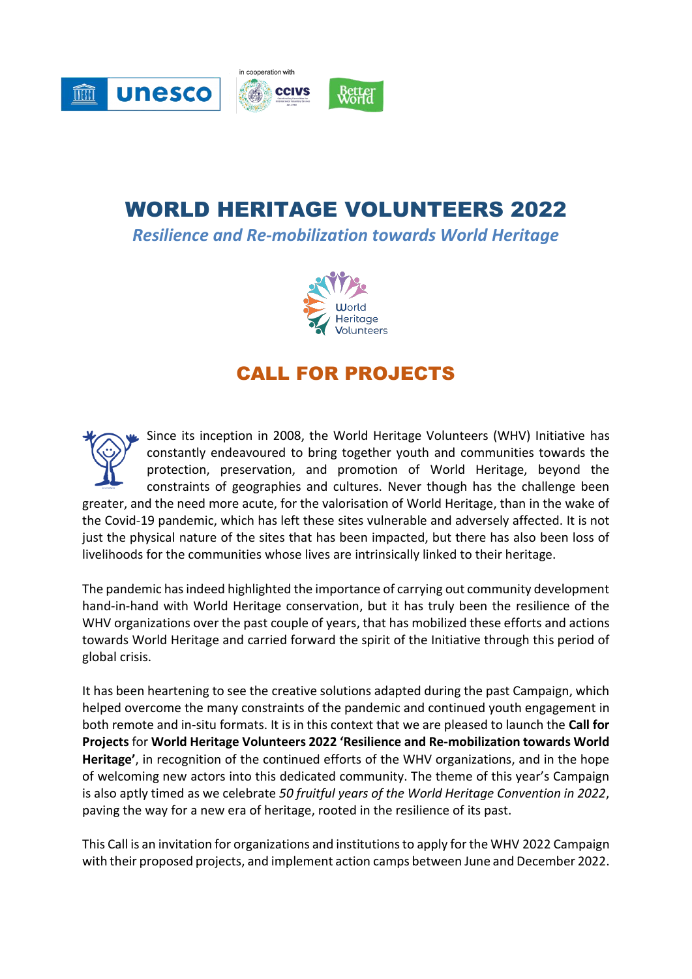

# WORLD HERITAGE VOLUNTEERS 2022

*Resilience and Re-mobilization towards World Heritage*



# CALL FOR PROJECTS

Since its inception in 2008, the World Heritage Volunteers (WHV) Initiative has constantly endeavoured to bring together youth and communities towards the protection, preservation, and promotion of World Heritage, beyond the constraints of geographies and cultures. Never though has the challenge been greater, and the need more acute, for the valorisation of World Heritage, than in the wake of the Covid-19 pandemic, which has left these sites vulnerable and adversely affected. It is not just the physical nature of the sites that has been impacted, but there has also been loss of livelihoods for the communities whose lives are intrinsically linked to their heritage.

The pandemic has indeed highlighted the importance of carrying out community development hand-in-hand with World Heritage conservation, but it has truly been the resilience of the WHV organizations over the past couple of years, that has mobilized these efforts and actions towards World Heritage and carried forward the spirit of the Initiative through this period of global crisis.

It has been heartening to see the creative solutions adapted during the past Campaign, which helped overcome the many constraints of the pandemic and continued youth engagement in both remote and in-situ formats. It is in this context that we are pleased to launch the **Call for Projects** for **World Heritage Volunteers 2022 'Resilience and Re-mobilization towards World Heritage'**, in recognition of the continued efforts of the WHV organizations, and in the hope of welcoming new actors into this dedicated community. The theme of this year's Campaign is also aptly timed as we celebrate *50 fruitful years of the World Heritage Convention in 2022*, paving the way for a new era of heritage, rooted in the resilience of its past.

This Call is an invitation for organizations and institutions to apply for the WHV 2022 Campaign with their proposed projects, and implement action camps between June and December 2022.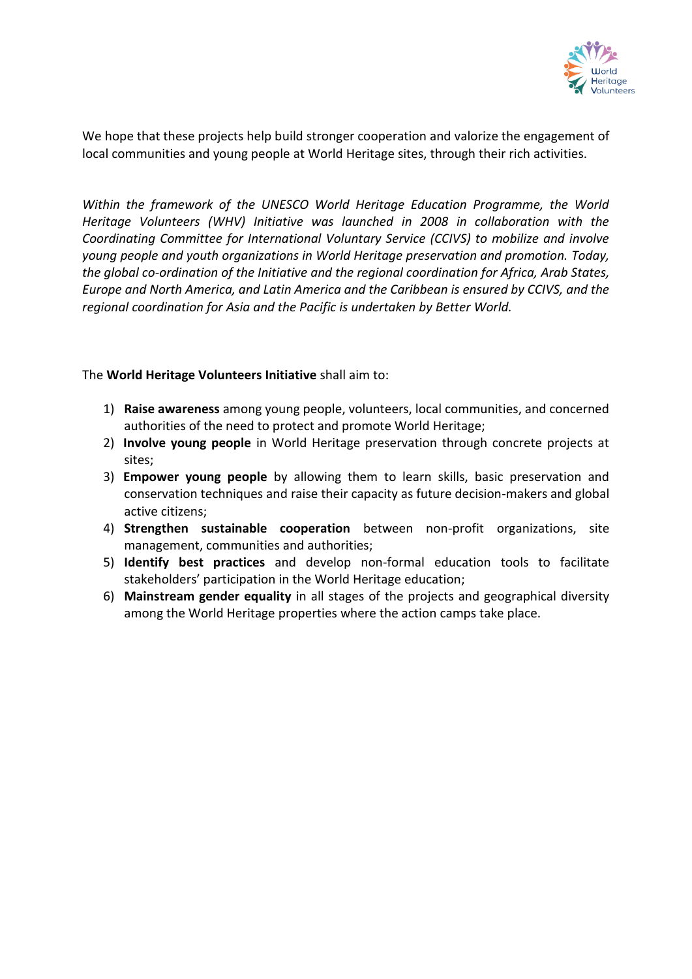

We hope that these projects help build stronger cooperation and valorize the engagement of local communities and young people at World Heritage sites, through their rich activities.

*Within the framework of the UNESCO World Heritage Education Programme, the World Heritage Volunteers (WHV) Initiative was launched in 2008 in collaboration with the Coordinating Committee for International Voluntary Service (CCIVS) to mobilize and involve young people and youth organizations in World Heritage preservation and promotion. Today, the global co-ordination of the Initiative and the regional coordination for Africa, Arab States, Europe and North America, and Latin America and the Caribbean is ensured by CCIVS, and the regional coordination for Asia and the Pacific is undertaken by Better World.*

The **World Heritage Volunteers Initiative** shall aim to:

- 1) **Raise awareness** among young people, volunteers, local communities, and concerned authorities of the need to protect and promote World Heritage;
- 2) **Involve young people** in World Heritage preservation through concrete projects at sites;
- 3) **Empower young people** by allowing them to learn skills, basic preservation and conservation techniques and raise their capacity as future decision-makers and global active citizens;
- 4) **Strengthen sustainable cooperation** between non-profit organizations, site management, communities and authorities;
- 5) **Identify best practices** and develop non-formal education tools to facilitate stakeholders' participation in the World Heritage education;
- 6) **Mainstream gender equality** in all stages of the projects and geographical diversity among the World Heritage properties where the action camps take place.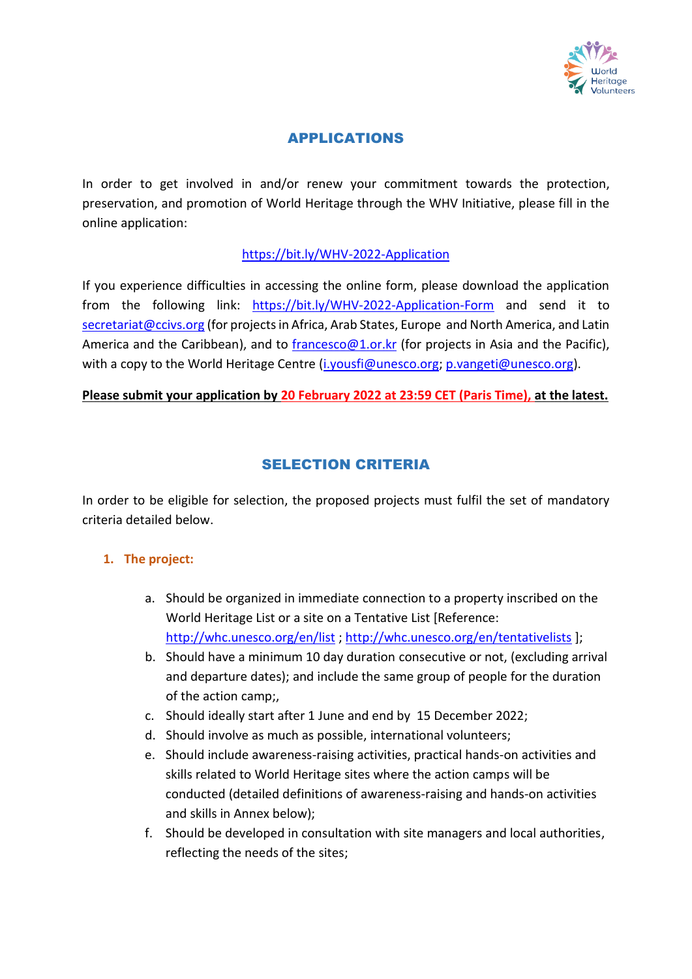

# APPLICATIONS

In order to get involved in and/or renew your commitment towards the protection, preservation, and promotion of World Heritage through the WHV Initiative, please fill in the online application:

### <https://bit.ly/WHV-2022-Application>

If you experience difficulties in accessing the online form, please download the application from the following link: <https://bit.ly/WHV-2022-Application-Form> and send it to [secretariat@ccivs.org](mailto:secretariat@ccivs.org) (for projects in Africa, Arab States, Europe and North America, and Latin America and the Caribbean), and to [francesco@1.or.kr](mailto:francesco@1.or.kr) (for projects in Asia and the Pacific), with a copy to the World Heritage Centre [\(i.yousfi@unesco.org;](mailto:i.yousfi@unesco.org) p.yangeti@unesco.org).

#### **Please submit your application by 20 February 2022 at 23:59 CET (Paris Time), at the latest.**

# SELECTION CRITERIA

In order to be eligible for selection, the proposed projects must fulfil the set of mandatory criteria detailed below.

#### **1. The project:**

- a. Should be organized in immediate connection to a property inscribed on the World Heritage List or a site on a Tentative List [Reference: <http://whc.unesco.org/en/list>;<http://whc.unesco.org/en/tentativelists> ];
- b. Should have a minimum 10 day duration consecutive or not, (excluding arrival and departure dates); and include the same group of people for the duration of the action camp;,
- c. Should ideally start after 1 June and end by 15 December 2022;
- d. Should involve as much as possible, international volunteers;
- e. Should include awareness-raising activities, practical hands-on activities and skills related to World Heritage sites where the action camps will be conducted (detailed definitions of awareness-raising and hands-on activities and skills in Annex below);
- f. Should be developed in consultation with site managers and local authorities, reflecting the needs of the sites;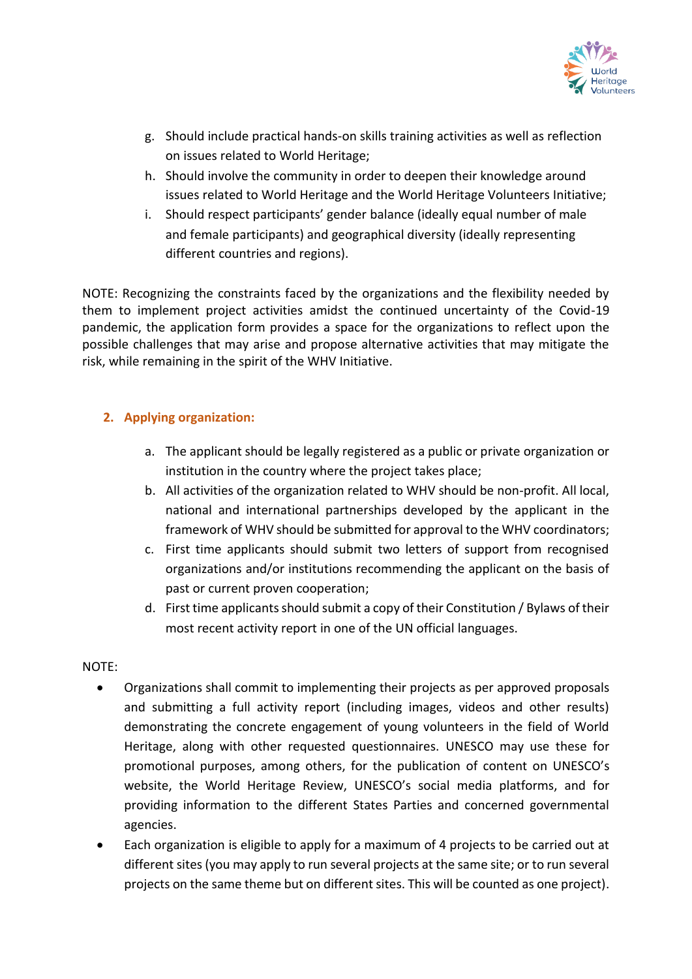

- g. Should include practical hands-on skills training activities as well as reflection on issues related to World Heritage;
- h. Should involve the community in order to deepen their knowledge around issues related to World Heritage and the World Heritage Volunteers Initiative;
- i. Should respect participants' gender balance (ideally equal number of male and female participants) and geographical diversity (ideally representing different countries and regions).

NOTE: Recognizing the constraints faced by the organizations and the flexibility needed by them to implement project activities amidst the continued uncertainty of the Covid-19 pandemic, the application form provides a space for the organizations to reflect upon the possible challenges that may arise and propose alternative activities that may mitigate the risk, while remaining in the spirit of the WHV Initiative.

### **2. Applying organization:**

- a. The applicant should be legally registered as a public or private organization or institution in the country where the project takes place;
- b. All activities of the organization related to WHV should be non-profit. All local, national and international partnerships developed by the applicant in the framework of WHV should be submitted for approval to the WHV coordinators;
- c. First time applicants should submit two letters of support from recognised organizations and/or institutions recommending the applicant on the basis of past or current proven cooperation;
- d. First time applicants should submit a copy of their Constitution / Bylaws of their most recent activity report in one of the UN official languages.

#### NOTE:

- Organizations shall commit to implementing their projects as per approved proposals and submitting a full activity report (including images, videos and other results) demonstrating the concrete engagement of young volunteers in the field of World Heritage, along with other requested questionnaires. UNESCO may use these for promotional purposes, among others, for the publication of content on UNESCO's website, the World Heritage Review, UNESCO's social media platforms, and for providing information to the different States Parties and concerned governmental agencies.
- Each organization is eligible to apply for a maximum of 4 projects to be carried out at different sites (you may apply to run several projects at the same site; or to run several projects on the same theme but on different sites. This will be counted as one project).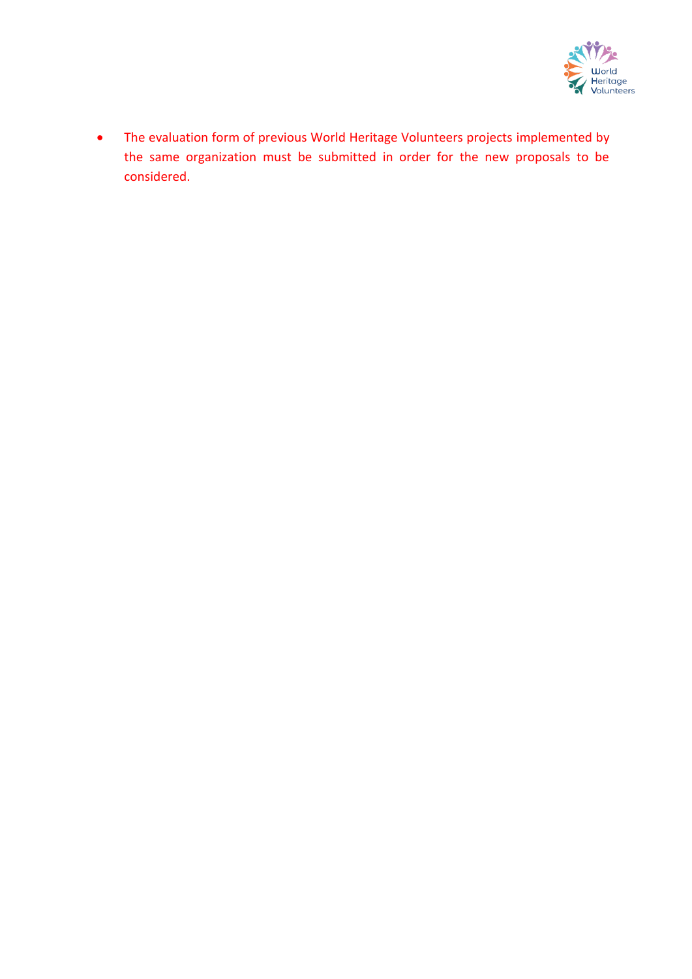

• The evaluation form of previous World Heritage Volunteers projects implemented by the same organization must be submitted in order for the new proposals to be considered.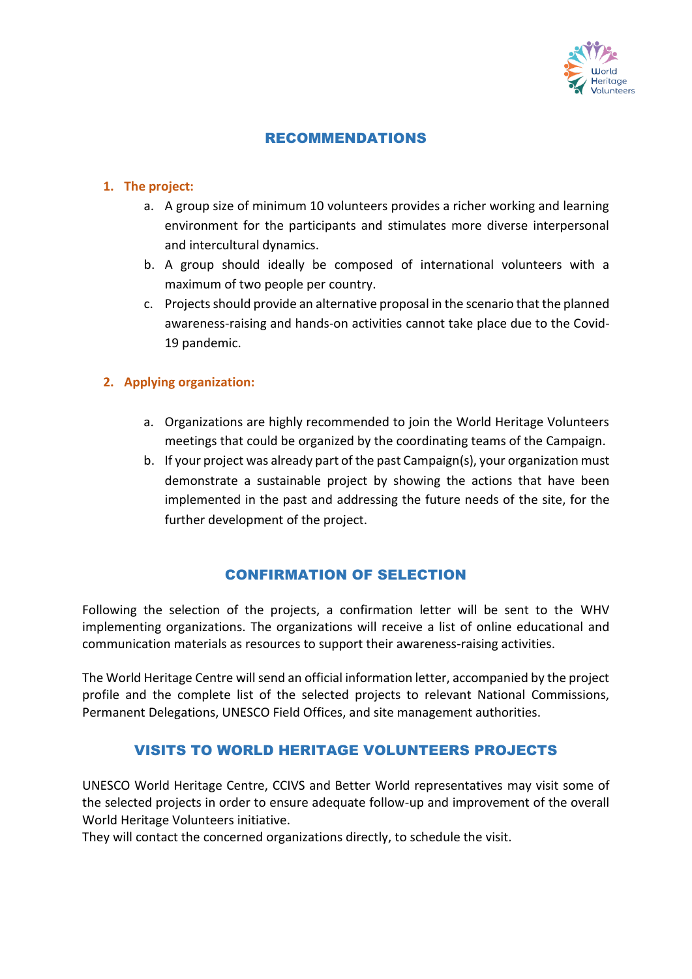

### RECOMMENDATIONS

#### **1. The project:**

- a. A group size of minimum 10 volunteers provides a richer working and learning environment for the participants and stimulates more diverse interpersonal and intercultural dynamics.
- b. A group should ideally be composed of international volunteers with a maximum of two people per country.
- c. Projects should provide an alternative proposal in the scenario that the planned awareness-raising and hands-on activities cannot take place due to the Covid-19 pandemic.

#### **2. Applying organization:**

- a. Organizations are highly recommended to join the World Heritage Volunteers meetings that could be organized by the coordinating teams of the Campaign.
- b. If your project was already part of the past Campaign(s), your organization must demonstrate a sustainable project by showing the actions that have been implemented in the past and addressing the future needs of the site, for the further development of the project.

# CONFIRMATION OF SELECTION

Following the selection of the projects, a confirmation letter will be sent to the WHV implementing organizations. The organizations will receive a list of online educational and communication materials as resources to support their awareness-raising activities.

The World Heritage Centre will send an official information letter, accompanied by the project profile and the complete list of the selected projects to relevant National Commissions, Permanent Delegations, UNESCO Field Offices, and site management authorities.

# VISITS TO WORLD HERITAGE VOLUNTEERS PROJECTS

UNESCO World Heritage Centre, CCIVS and Better World representatives may visit some of the selected projects in order to ensure adequate follow-up and improvement of the overall World Heritage Volunteers initiative.

They will contact the concerned organizations directly, to schedule the visit.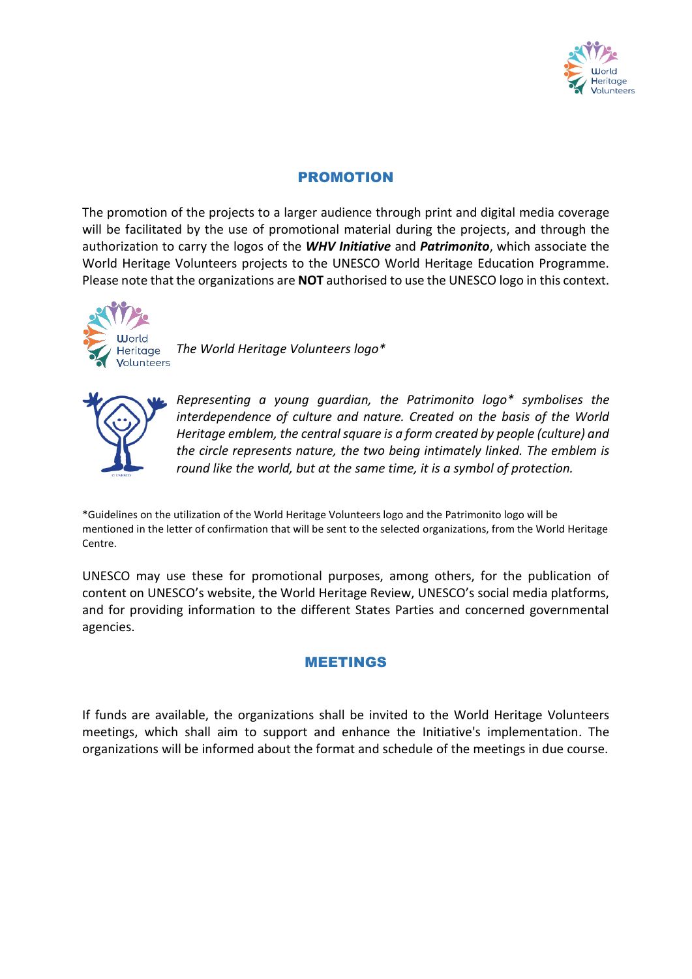

# PROMOTION

The promotion of the projects to a larger audience through print and digital media coverage will be facilitated by the use of promotional material during the projects, and through the authorization to carry the logos of the *WHV Initiative* and *Patrimonito*, which associate the World Heritage Volunteers projects to the UNESCO World Heritage Education Programme. Please note that the organizations are **NOT** authorised to use the UNESCO logo in this context.



*The World Heritage Volunteers logo\**



*Representing a young guardian, the Patrimonito logo\* symbolises the interdependence of culture and nature. Created on the basis of the World Heritage emblem, the central square is a form created by people (culture) and the circle represents nature, the two being intimately linked. The emblem is round like the world, but at the same time, it is a symbol of protection.*

\*Guidelines on the utilization of the World Heritage Volunteers logo and the Patrimonito logo will be mentioned in the letter of confirmation that will be sent to the selected organizations, from the World Heritage Centre.

UNESCO may use these for promotional purposes, among others, for the publication of content on UNESCO's website, the World Heritage Review, UNESCO's social media platforms, and for providing information to the different States Parties and concerned governmental agencies.

# MEETINGS

If funds are available, the organizations shall be invited to the World Heritage Volunteers meetings, which shall aim to support and enhance the Initiative's implementation. The organizations will be informed about the format and schedule of the meetings in due course.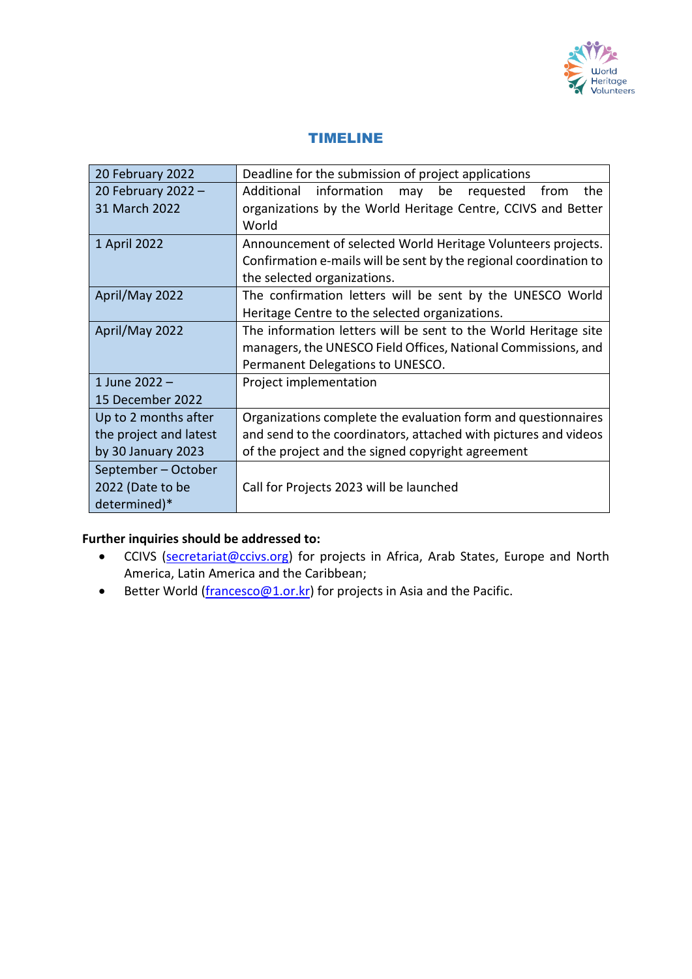

### TIMELINE

| 20 February 2022       | Deadline for the submission of project applications                |
|------------------------|--------------------------------------------------------------------|
| 20 February 2022 -     | Additional<br>information<br>the<br>be<br>requested<br>from<br>may |
| 31 March 2022          | organizations by the World Heritage Centre, CCIVS and Better       |
|                        | World                                                              |
| 1 April 2022           | Announcement of selected World Heritage Volunteers projects.       |
|                        | Confirmation e-mails will be sent by the regional coordination to  |
|                        | the selected organizations.                                        |
| April/May 2022         | The confirmation letters will be sent by the UNESCO World          |
|                        | Heritage Centre to the selected organizations.                     |
| April/May 2022         | The information letters will be sent to the World Heritage site    |
|                        | managers, the UNESCO Field Offices, National Commissions, and      |
|                        | Permanent Delegations to UNESCO.                                   |
| 1 June 2022 -          | Project implementation                                             |
| 15 December 2022       |                                                                    |
| Up to 2 months after   | Organizations complete the evaluation form and questionnaires      |
| the project and latest | and send to the coordinators, attached with pictures and videos    |
| by 30 January 2023     | of the project and the signed copyright agreement                  |
| September - October    |                                                                    |
| 2022 (Date to be       | Call for Projects 2023 will be launched                            |
| determined)*           |                                                                    |

### **Further inquiries should be addressed to:**

- CCIVS [\(secretariat@ccivs.org\)](mailto:secretariat@ccivs.org) for projects in Africa, Arab States, Europe and North America, Latin America and the Caribbean;
- Better World [\(francesco@1.or.kr\)](mailto:francesco@1.or.kr) for projects in Asia and the Pacific.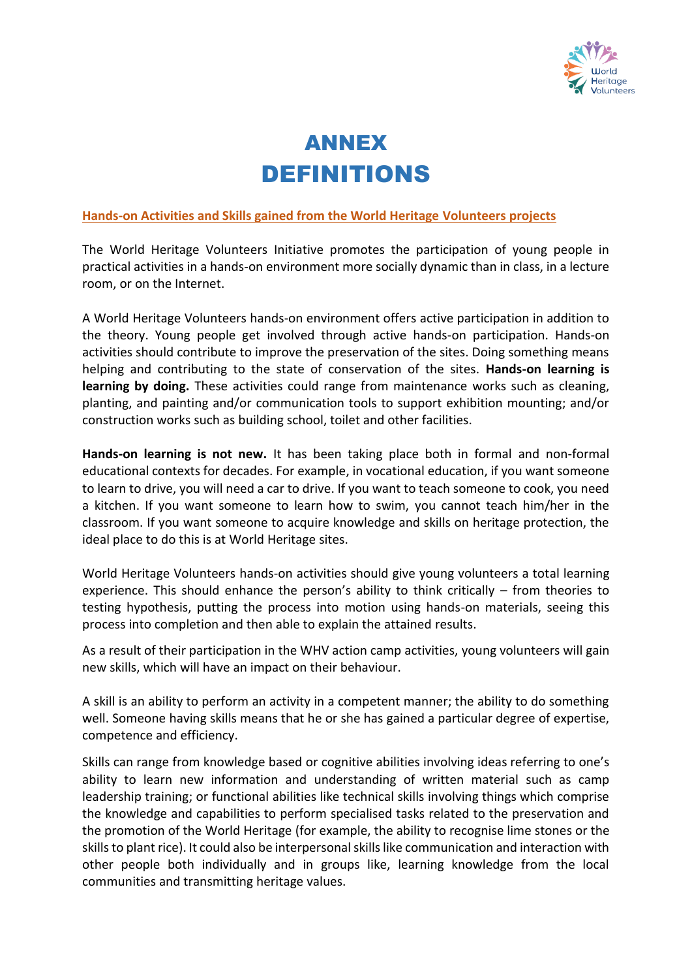

# ANNEX DEFINITIONS

#### **Hands-on Activities and Skills gained from the World Heritage Volunteers projects**

The World Heritage Volunteers Initiative promotes the participation of young people in practical activities in a hands-on environment more socially dynamic than in class, in a lecture room, or on the Internet.

A World Heritage Volunteers hands-on environment offers active participation in addition to the theory. Young people get involved through active hands-on participation. Hands-on activities should contribute to improve the preservation of the sites. Doing something means helping and contributing to the state of conservation of the sites. **Hands-on learning is learning by doing.** These activities could range from maintenance works such as cleaning, planting, and painting and/or communication tools to support exhibition mounting; and/or construction works such as building school, toilet and other facilities.

**Hands-on learning is not new.** It has been taking place both in formal and non-formal educational contexts for decades. For example, in vocational education, if you want someone to learn to drive, you will need a car to drive. If you want to teach someone to cook, you need a kitchen. If you want someone to learn how to swim, you cannot teach him/her in the classroom. If you want someone to acquire knowledge and skills on heritage protection, the ideal place to do this is at World Heritage sites.

World Heritage Volunteers hands-on activities should give young volunteers a total learning experience. This should enhance the person's ability to think critically – from theories to testing hypothesis, putting the process into motion using hands-on materials, seeing this process into completion and then able to explain the attained results.

As a result of their participation in the WHV action camp activities, young volunteers will gain new skills, which will have an impact on their behaviour.

A skill is an ability to perform an activity in a competent manner; the ability to do something well. Someone having skills means that he or she has gained a particular degree of expertise, competence and efficiency.

Skills can range from knowledge based or cognitive abilities involving ideas referring to one's ability to learn new information and [understanding of written material](http://en.wikipedia.org/wiki/Reading_comprehension) such as camp leadership training; or functional abilities like technical skills involving things which comprise the knowledge and capabilities to perform specialised tasks related to the preservation and the promotion of the World Heritage (for example, the ability to recognise lime stones or the skills to plant rice). It could also be interpersonal skills like communication and interaction with other people both individually and in groups like, learning knowledge from the local communities and transmitting heritage values.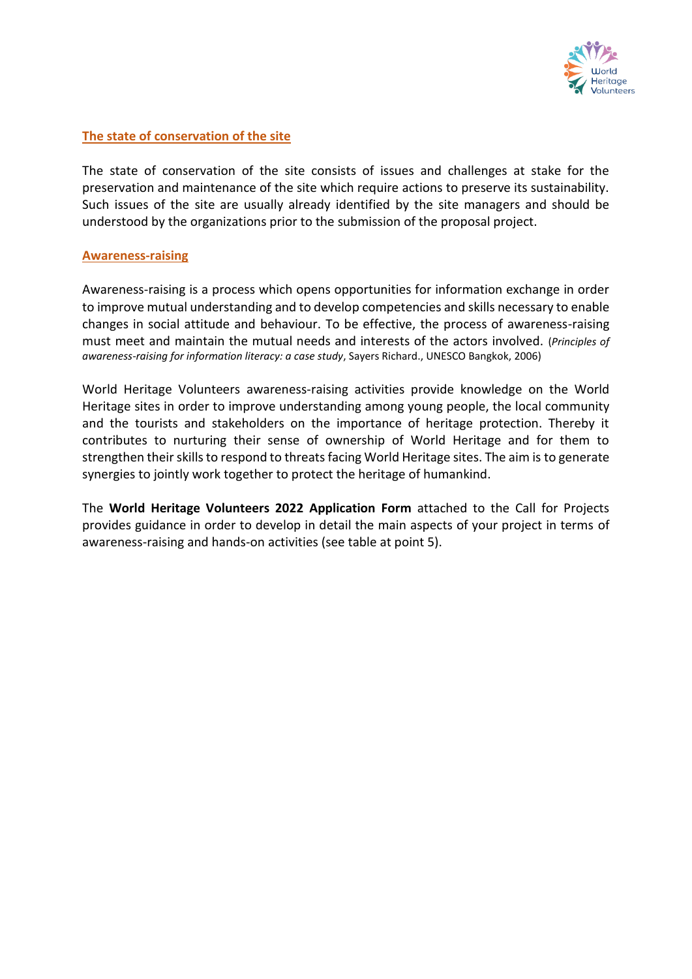

#### **The state of conservation of the site**

The state of conservation of the site consists of issues and challenges at stake for the preservation and maintenance of the site which require actions to preserve its sustainability. Such issues of the site are usually already identified by the site managers and should be understood by the organizations prior to the submission of the proposal project.

#### **Awareness-raising**

Awareness-raising is a process which opens opportunities for information exchange in order to improve mutual understanding and to develop competencies and skills necessary to enable changes in social attitude and behaviour. To be effective, the process of awareness-raising must meet and maintain the mutual needs and interests of the actors involved. (*Principles of awareness-raising for information literacy: a case study*, Sayers Richard., UNESCO Bangkok, 2006)

World Heritage Volunteers awareness-raising activities provide knowledge on the World Heritage sites in order to improve understanding among young people, the local community and the tourists and stakeholders on the importance of heritage protection. Thereby it contributes to nurturing their sense of ownership of World Heritage and for them to strengthen their skills to respond to threats facing World Heritage sites. The aim is to generate synergies to jointly work together to protect the heritage of humankind.

The **World Heritage Volunteers 2022 Application Form** attached to the Call for Projects provides guidance in order to develop in detail the main aspects of your project in terms of awareness-raising and hands-on activities (see table at point 5).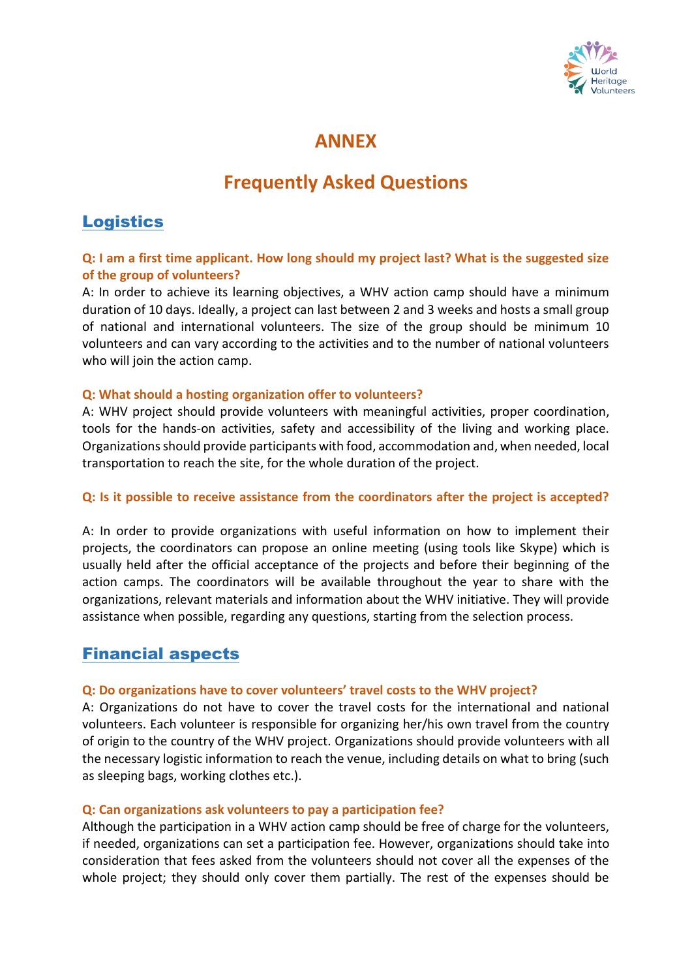

# **ANNEX**

# **Frequently Asked Questions**

# **Logistics**

#### **Q: I am a first time applicant. How long should my project last? What is the suggested size of the group of volunteers?**

A: In order to achieve its learning objectives, a WHV action camp should have a minimum duration of 10 days. Ideally, a project can last between 2 and 3 weeks and hosts a small group of national and international volunteers. The size of the group should be minimum 10 volunteers and can vary according to the activities and to the number of national volunteers who will join the action camp.

#### **Q: What should a hosting organization offer to volunteers?**

A: WHV project should provide volunteers with meaningful activities, proper coordination, tools for the hands-on activities, safety and accessibility of the living and working place. Organizations should provide participants with food, accommodation and, when needed, local transportation to reach the site, for the whole duration of the project.

#### **Q: Is it possible to receive assistance from the coordinators after the project is accepted?**

A: In order to provide organizations with useful information on how to implement their projects, the coordinators can propose an online meeting (using tools like Skype) which is usually held after the official acceptance of the projects and before their beginning of the action camps. The coordinators will be available throughout the year to share with the organizations, relevant materials and information about the WHV initiative. They will provide assistance when possible, regarding any questions, starting from the selection process.

# Financial aspects

#### **Q: Do organizations have to cover volunteers' travel costs to the WHV project?**

A: Organizations do not have to cover the travel costs for the international and national volunteers. Each volunteer is responsible for organizing her/his own travel from the country of origin to the country of the WHV project. Organizations should provide volunteers with all the necessary logistic information to reach the venue, including details on what to bring (such as sleeping bags, working clothes etc.).

#### **Q: Can organizations ask volunteers to pay a participation fee?**

Although the participation in a WHV action camp should be free of charge for the volunteers, if needed, organizations can set a participation fee. However, organizations should take into consideration that fees asked from the volunteers should not cover all the expenses of the whole project; they should only cover them partially. The rest of the expenses should be